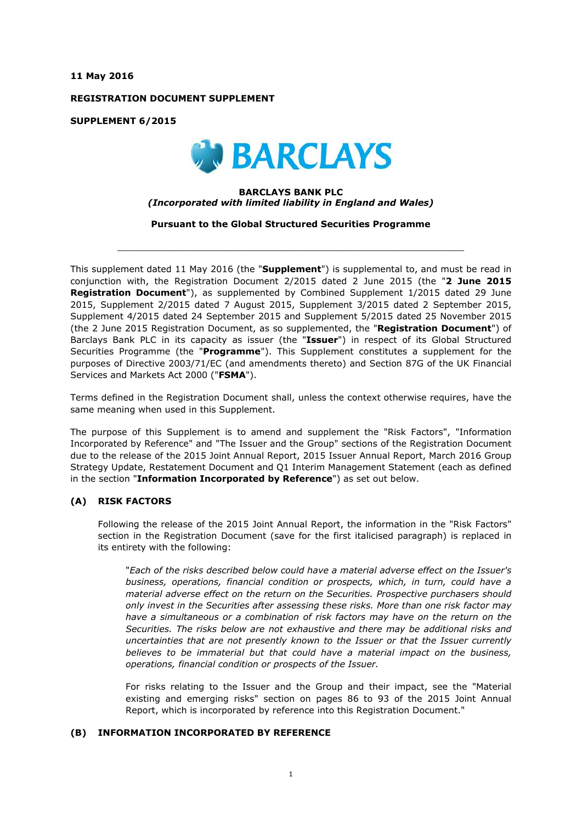**11 May 2016**

**REGISTRATION DOCUMENT SUPPLEMENT**

**SUPPLEMENT 6/2015**



### **BARCLAYS BANK PLC** *(Incorporated with limited liability in England and Wales)*

**Pursuant to the Global Structured Securities Programme**

 $\_$  ,  $\_$  ,  $\_$  ,  $\_$  ,  $\_$  ,  $\_$  ,  $\_$  ,  $\_$  ,  $\_$  ,  $\_$  ,  $\_$  ,  $\_$  ,  $\_$  ,  $\_$  ,  $\_$  ,  $\_$  ,  $\_$  ,  $\_$  ,  $\_$  ,  $\_$  ,  $\_$  ,  $\_$  ,  $\_$  ,  $\_$  ,  $\_$  ,  $\_$  ,  $\_$  ,  $\_$  ,  $\_$  ,  $\_$  ,  $\_$  ,  $\_$  ,  $\_$  ,  $\_$  ,  $\_$  ,  $\_$  ,  $\_$  ,

This supplement dated 11 May 2016 (the "**Supplement**") is supplemental to, and must be read in conjunction with, the Registration Document 2/2015 dated 2 June 2015 (the "**2 June 2015 Registration Document**"), as supplemented by Combined Supplement 1/2015 dated 29 June 2015, Supplement 2/2015 dated 7 August 2015, Supplement 3/2015 dated 2 September 2015, Supplement 4/2015 dated 24 September 2015 and Supplement 5/2015 dated 25 November 2015 (the 2 June 2015 Registration Document, as so supplemented, the "**Registration Document**") of Barclays Bank PLC in its capacity as issuer (the "**Issuer**") in respect of its Global Structured Securities Programme (the "**Programme**"). This Supplement constitutes a supplement for the purposes of Directive 2003/71/EC (and amendments thereto) and Section 87G of the UK Financial Services and Markets Act 2000 ("**FSMA**").

Terms defined in the Registration Document shall, unless the context otherwise requires, have the same meaning when used in this Supplement.

The purpose of this Supplement is to amend and supplement the "Risk Factors", "Information Incorporated by Reference" and "The Issuer and the Group" sections of the Registration Document due to the release of the 2015 Joint Annual Report, 2015 Issuer Annual Report, March 2016 Group Strategy Update, Restatement Document and Q1 Interim Management Statement (each as defined in the section "**Information Incorporated by Reference**") as set out below.

## **(A) RISK FACTORS**

Following the release of the 2015 Joint Annual Report, the information in the "Risk Factors" section in the Registration Document (save for the first italicised paragraph) is replaced in its entirety with the following:

"*Each of the risks described below could have a material adverse effect on the Issuer's business, operations, financial condition or prospects, which, in turn, could have a material adverse effect on the return on the Securities. Prospective purchasers should only invest in the Securities after assessing these risks. More than one risk factor may have a simultaneous or a combination of risk factors may have on the return on the Securities. The risks below are not exhaustive and there may be additional risks and uncertainties that are not presently known to the Issuer or that the Issuer currently believes to be immaterial but that could have a material impact on the business, operations, financial condition or prospects of the Issuer.*

For risks relating to the Issuer and the Group and their impact, see the "Material existing and emerging risks" section on pages 86 to 93 of the 2015 Joint Annual Report, which is incorporated by reference into this Registration Document."

# **(B) INFORMATION INCORPORATED BY REFERENCE**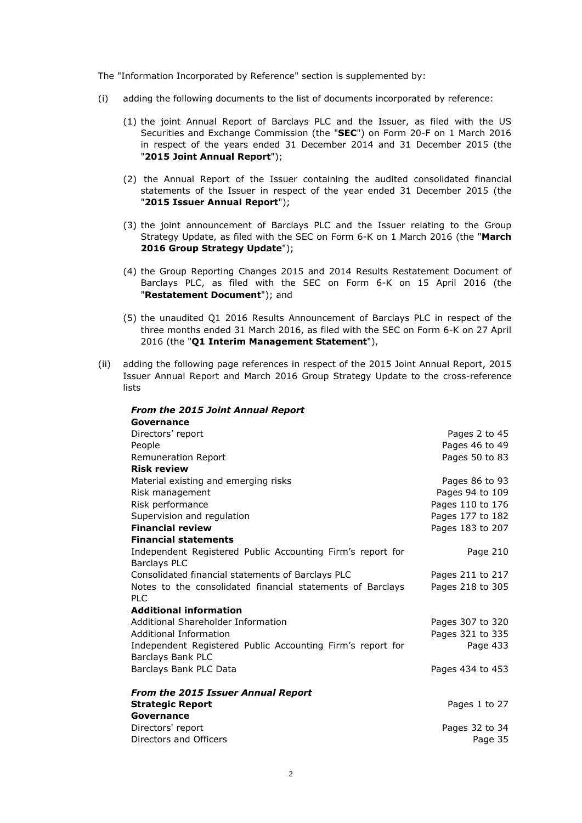The "Information Incorporated by Reference" section is supplemented by:

- (i) adding the following documents to the list of documents incorporated by reference:
	- (1) the joint Annual Report of Barclays PLC and the Issuer, as filed with the US Securities and Exchange Commission (the "**SEC**") on Form 20-F on 1 March 2016 in respect of the years ended 31 December 2014 and 31 December 2015 (the "**2015 Joint Annual Report**");
	- (2) the Annual Report of the Issuer containing the audited consolidated financial statements of the Issuer in respect of the year ended 31 December 2015 (the "**2015 Issuer Annual Report**");
	- (3) the joint announcement of Barclays PLC and the Issuer relating to the Group Strategy Update, as filed with the SEC on Form 6-K on 1 March 2016 (the "**March 2016 Group Strategy Update**");
	- (4) the Group Reporting Changes 2015 and 2014 Results Restatement Document of Barclays PLC, as filed with the SEC on Form 6-K on 15 April 2016 (the "**Restatement Document**"); and
	- (5) the unaudited Q1 2016 Results Announcement of Barclays PLC in respect of the three months ended 31 March 2016, as filed with the SEC on Form 6-K on 27 April 2016 (the "**Q1 Interim Management Statement**"),
- (ii) adding the following page references in respect of the 2015 Joint Annual Report, 2015 Issuer Annual Report and March 2016 Group Strategy Update to the cross-reference lists

| <b>From the 2015 Joint Annual Report</b>                                        |                  |
|---------------------------------------------------------------------------------|------------------|
| Governance                                                                      |                  |
| Directors' report                                                               | Pages 2 to 45    |
| People                                                                          | Pages 46 to 49   |
| Remuneration Report                                                             | Pages 50 to 83   |
| <b>Risk review</b>                                                              |                  |
| Material existing and emerging risks                                            | Pages 86 to 93   |
| Risk management                                                                 | Pages 94 to 109  |
| Risk performance                                                                | Pages 110 to 176 |
| Supervision and regulation                                                      | Pages 177 to 182 |
| <b>Financial review</b>                                                         | Pages 183 to 207 |
| <b>Financial statements</b>                                                     |                  |
| Independent Registered Public Accounting Firm's report for                      | Page 210         |
| <b>Barclays PLC</b>                                                             |                  |
| Consolidated financial statements of Barclays PLC                               | Pages 211 to 217 |
| Notes to the consolidated financial statements of Barclays                      | Pages 218 to 305 |
| <b>PLC</b><br><b>Additional information</b>                                     |                  |
| Additional Shareholder Information                                              |                  |
|                                                                                 | Pages 307 to 320 |
| Additional Information                                                          | Pages 321 to 335 |
| Independent Registered Public Accounting Firm's report for<br>Barclays Bank PLC | Page 433         |
| Barclays Bank PLC Data                                                          | Pages 434 to 453 |
|                                                                                 |                  |
| <b>From the 2015 Issuer Annual Report</b>                                       |                  |
| <b>Strategic Report</b>                                                         | Pages 1 to 27    |
| Governance                                                                      |                  |
| Directors' report                                                               | Pages 32 to 34   |
| Directors and Officers                                                          | Page 35          |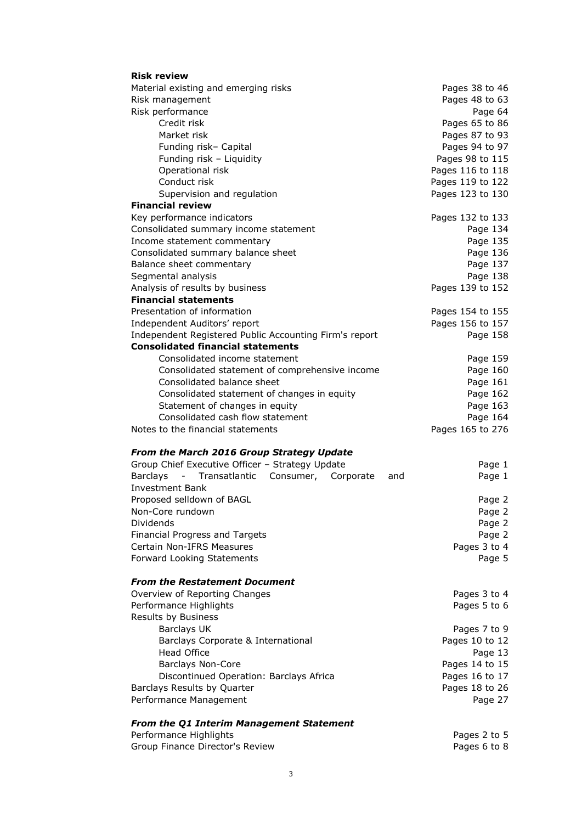| <b>Risk review</b>                                                                     |                                             |
|----------------------------------------------------------------------------------------|---------------------------------------------|
| Material existing and emerging risks                                                   | Pages 38 to 46                              |
| Risk management                                                                        | Pages 48 to 63                              |
| Risk performance                                                                       | Page 64                                     |
| Credit risk                                                                            | Pages 65 to 86                              |
| Market risk                                                                            | Pages 87 to 93                              |
| Funding risk- Capital                                                                  | Pages 94 to 97                              |
| Funding risk - Liquidity                                                               | Pages 98 to 115                             |
| Operational risk                                                                       | Pages 116 to 118                            |
| Conduct risk                                                                           | Pages 119 to 122                            |
| Supervision and regulation                                                             | Pages 123 to 130                            |
| <b>Financial review</b>                                                                |                                             |
| Key performance indicators                                                             | Pages 132 to 133                            |
| Consolidated summary income statement                                                  | Page 134                                    |
| Income statement commentary                                                            | Page 135                                    |
| Consolidated summary balance sheet                                                     | Page 136                                    |
| Balance sheet commentary                                                               | Page 137                                    |
| Segmental analysis                                                                     | Page 138                                    |
| Analysis of results by business                                                        | Pages 139 to 152                            |
| <b>Financial statements</b>                                                            |                                             |
| Presentation of information                                                            | Pages 154 to 155                            |
| Independent Auditors' report                                                           | Pages 156 to 157                            |
| Independent Registered Public Accounting Firm's report                                 | Page 158                                    |
| <b>Consolidated financial statements</b>                                               |                                             |
| Consolidated income statement                                                          | Page 159                                    |
| Consolidated statement of comprehensive income                                         | Page 160                                    |
| Consolidated balance sheet                                                             | Page 161                                    |
| Consolidated statement of changes in equity                                            | Page 162                                    |
| Statement of changes in equity                                                         | Page 163                                    |
| Consolidated cash flow statement                                                       | Page 164                                    |
| Notes to the financial statements                                                      | Pages 165 to 276                            |
| From the March 2016 Group Strategy Update                                              |                                             |
| Group Chief Executive Officer - Strategy Update                                        | Page 1                                      |
| <b>Barclays</b><br>Transatlantic<br>$\overline{\phantom{a}}$<br>Consumer,<br>Corporate | Page 1<br>and                               |
| <b>Investment Bank</b>                                                                 |                                             |
| Proposed selldown of BAGL                                                              | Page 2                                      |
| Non-Core rundown                                                                       | Page 2                                      |
| Dividends                                                                              | Page 2                                      |
| Financial Progress and Targets                                                         | Page 2                                      |
| Certain Non-IFRS Measures                                                              | Pages 3 to 4                                |
| Forward Looking Statements                                                             | Page 5                                      |
|                                                                                        |                                             |
| <b>From the Restatement Document</b>                                                   |                                             |
|                                                                                        |                                             |
| Overview of Reporting Changes                                                          | Pages 3 to 4                                |
| Performance Highlights                                                                 | Pages 5 to 6                                |
| Results by Business                                                                    |                                             |
| <b>Barclays UK</b>                                                                     | Pages 7 to 9                                |
| Barclays Corporate & International                                                     |                                             |
| <b>Head Office</b>                                                                     | Page 13                                     |
| <b>Barclays Non-Core</b>                                                               | Pages 14 to 15                              |
| Discontinued Operation: Barclays Africa                                                |                                             |
| Barclays Results by Quarter                                                            | Pages 18 to 26                              |
| Performance Management                                                                 | Pages 10 to 12<br>Pages 16 to 17<br>Page 27 |
|                                                                                        |                                             |
| <b>From the Q1 Interim Management Statement</b><br>Performance Highlights              | Pages 2 to 5                                |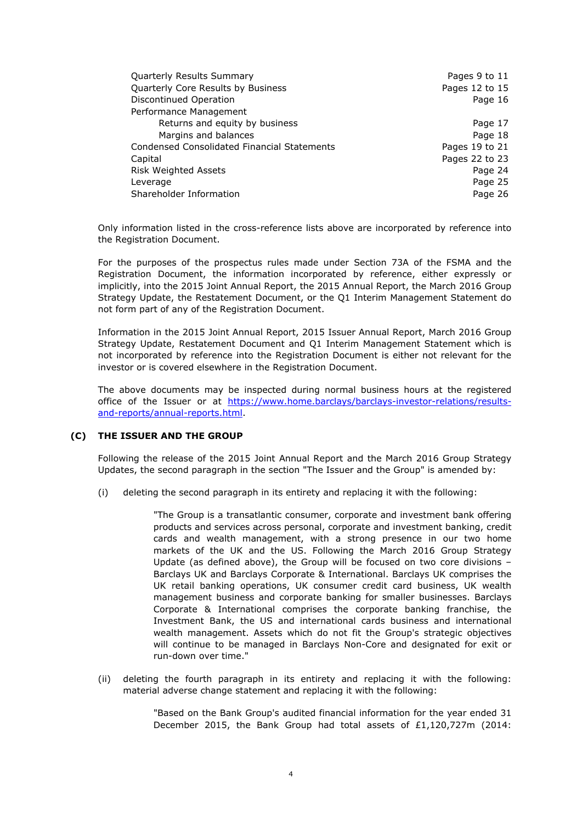| Quarterly Results Summary                          | Pages 9 to 11  |
|----------------------------------------------------|----------------|
| Quarterly Core Results by Business                 | Pages 12 to 15 |
| Discontinued Operation                             | Page 16        |
| Performance Management                             |                |
| Returns and equity by business                     | Page 17        |
| Margins and balances                               | Page 18        |
| <b>Condensed Consolidated Financial Statements</b> | Pages 19 to 21 |
| Capital                                            | Pages 22 to 23 |
| <b>Risk Weighted Assets</b>                        | Page 24        |
| Leverage                                           | Page 25        |
| Shareholder Information                            | Page 26        |

Only information listed in the cross-reference lists above are incorporated by reference into the Registration Document.

For the purposes of the prospectus rules made under Section 73A of the FSMA and the Registration Document, the information incorporated by reference, either expressly or implicitly, into the 2015 Joint Annual Report, the 2015 Annual Report, the March 2016 Group Strategy Update, the Restatement Document, or the Q1 Interim Management Statement do not form part of any of the Registration Document.

Information in the 2015 Joint Annual Report, 2015 Issuer Annual Report, March 2016 Group Strategy Update, Restatement Document and Q1 Interim Management Statement which is not incorporated by reference into the Registration Document is either not relevant for the investor or is covered elsewhere in the Registration Document.

The above documents may be inspected during normal business hours at the registered office of the Issuer or at https://www.home.barclays/barclays-investor-relations/resultsand-reports/annual-reports.html.

## **(C) THE ISSUER AND THE GROUP**

Following the release of the 2015 Joint Annual Report and the March 2016 Group Strategy Updates, the second paragraph in the section "The Issuer and the Group" is amended by:

(i) deleting the second paragraph in its entirety and replacing it with the following:

"The Group is a transatlantic consumer, corporate and investment bank offering products and services across personal, corporate and investment banking, credit cards and wealth management, with a strong presence in our two home markets of the UK and the US. Following the March 2016 Group Strategy Update (as defined above), the Group will be focused on two core divisions – Barclays UK and Barclays Corporate & International. Barclays UK comprises the UK retail banking operations, UK consumer credit card business, UK wealth management business and corporate banking for smaller businesses. Barclays Corporate & International comprises the corporate banking franchise, the Investment Bank, the US and international cards business and international wealth management. Assets which do not fit the Group's strategic objectives will continue to be managed in Barclays Non-Core and designated for exit or run-down over time."

(ii) deleting the fourth paragraph in its entirety and replacing it with the following: material adverse change statement and replacing it with the following:

> "Based on the Bank Group's audited financial information for the year ended 31 December 2015, the Bank Group had total assets of £1,120,727m (2014: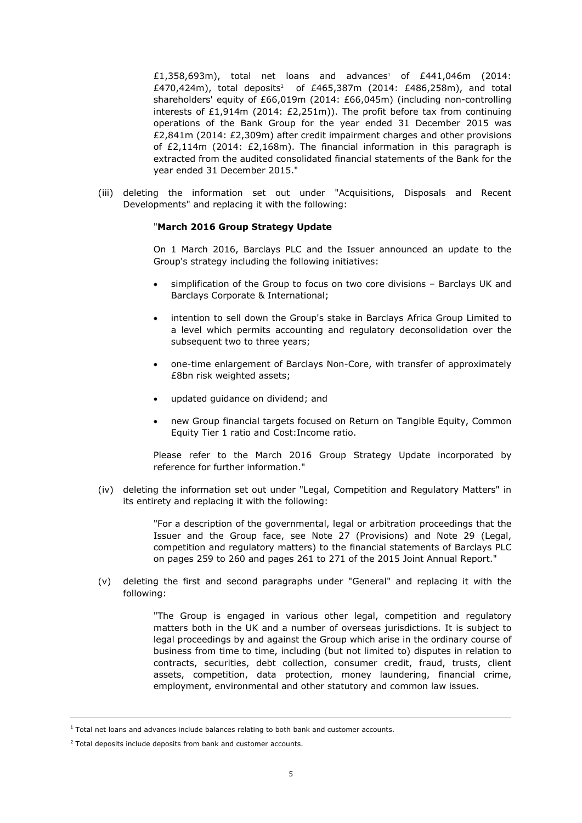£1,358,693m), total net loans and advances<sup>1</sup> of £441,046m (2014: £470,424m), total deposits<sup>2</sup> of £465,387m (2014: £486,258m), and total shareholders' equity of £66,019m (2014: £66,045m) (including non-controlling interests of £1,914m (2014: £2,251m)). The profit before tax from continuing operations of the Bank Group for the year ended 31 December 2015 was £2,841m (2014: £2,309m) after credit impairment charges and other provisions of £2,114m (2014: £2,168m). The financial information in this paragraph is extracted from the audited consolidated financial statements of the Bank for the year ended 31 December 2015."

(iii) deleting the information set out under "Acquisitions, Disposals and Recent Developments" and replacing it with the following:

#### "**March 2016 Group Strategy Update**

On 1 March 2016, Barclays PLC and the Issuer announced an update to the Group's strategy including the following initiatives:

- simplification of the Group to focus on two core divisions Barclays UK and Barclays Corporate & International;
- intention to sell down the Group's stake in Barclays Africa Group Limited to a level which permits accounting and regulatory deconsolidation over the subsequent two to three years;
- one-time enlargement of Barclays Non-Core, with transfer of approximately £8bn risk weighted assets;
- updated guidance on dividend; and
- new Group financial targets focused on Return on Tangible Equity, Common Equity Tier 1 ratio and Cost:Income ratio.

Please refer to the March 2016 Group Strategy Update incorporated by reference for further information."

(iv) deleting the information set out under "Legal, Competition and Regulatory Matters" in its entirety and replacing it with the following:

> "For a description of the governmental, legal or arbitration proceedings that the Issuer and the Group face, see Note 27 (Provisions) and Note 29 (Legal, competition and regulatory matters) to the financial statements of Barclays PLC on pages 259 to 260 and pages 261 to 271 of the 2015 Joint Annual Report."

(v) deleting the first and second paragraphs under "General" and replacing it with the following:

> "The Group is engaged in various other legal, competition and regulatory matters both in the UK and a number of overseas jurisdictions. It is subject to legal proceedings by and against the Group which arise in the ordinary course of business from time to time, including (but not limited to) disputes in relation to contracts, securities, debt collection, consumer credit, fraud, trusts, client assets, competition, data protection, money laundering, financial crime, employment, environmental and other statutory and common law issues.

i,

 $<sup>1</sup>$  Total net loans and advances include balances relating to both bank and customer accounts.</sup>

 $2$  Total deposits include deposits from bank and customer accounts.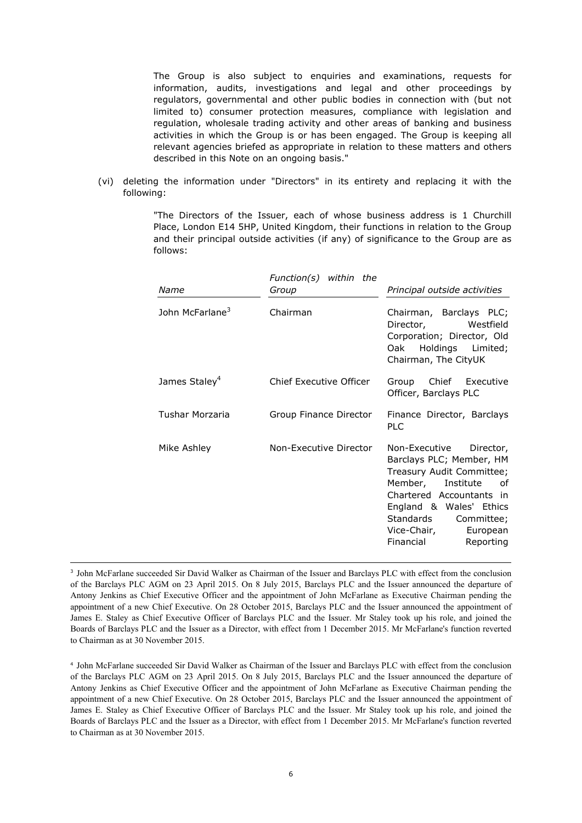The Group is also subject to enquiries and examinations, requests for information, audits, investigations and legal and other proceedings by regulators, governmental and other public bodies in connection with (but not limited to) consumer protection measures, compliance with legislation and regulation, wholesale trading activity and other areas of banking and business activities in which the Group is or has been engaged. The Group is keeping all relevant agencies briefed as appropriate in relation to these matters and others described in this Note on an ongoing basis."

(vi) deleting the information under "Directors" in its entirety and replacing it with the following:

> "The Directors of the Issuer, each of whose business address is 1 Churchill Place, London E14 5HP, United Kingdom, their functions in relation to the Group and their principal outside activities (if any) of significance to the Group are as follows:

| Name                        | $Function(s)$ within the<br>Group | Principal outside activities                                                                                                                                                                                                                          |
|-----------------------------|-----------------------------------|-------------------------------------------------------------------------------------------------------------------------------------------------------------------------------------------------------------------------------------------------------|
| John McFarlane <sup>3</sup> | Chairman                          | Chairman, Barclays PLC;<br>Director, <b>compared to the Strutt</b><br>Westfield<br>Corporation; Director, Old<br>Oak Holdings Limited;<br>Chairman, The CityUK                                                                                        |
| James Staley <sup>4</sup>   | Chief Executive Officer           | Chief Executive<br>Group<br>Officer, Barclays PLC                                                                                                                                                                                                     |
| Tushar Morzaria             | Group Finance Director            | Finance Director, Barclays<br><b>PLC</b>                                                                                                                                                                                                              |
| Mike Ashley                 | Non-Executive Director            | Non-Executive<br>Director,<br>Barclays PLC; Member, HM<br>Treasury Audit Committee;<br>Member, Institute<br>оf<br>Chartered Accountants in<br>England & Wales' Ethics<br>Standards<br>Committee;<br>Vice-Chair,<br>European<br>Financial<br>Reporting |

3 John McFarlane succeeded Sir David Walker as Chairman of the Issuer and Barclays PLC with effect from the conclusion of the Barclays PLC AGM on 23 April 2015. On 8 July 2015, Barclays PLC and the Issuer announced the departure of Antony Jenkins as Chief Executive Officer and the appointment of John McFarlane as Executive Chairman pending the appointment of a new Chief Executive. On 28 October 2015, Barclays PLC and the Issuer announced the appointment of James E. Staley as Chief Executive Officer of Barclays PLC and the Issuer. Mr Staley took up his role, and joined the Boards of Barclays PLC and the Issuer as a Director, with effect from 1 December 2015. Mr McFarlane's function reverted to Chairman as at 30 November 2015.

-

4 John McFarlane succeeded Sir David Walker as Chairman of the Issuer and Barclays PLC with effect from the conclusion of the Barclays PLC AGM on 23 April 2015. On 8 July 2015, Barclays PLC and the Issuer announced the departure of Antony Jenkins as Chief Executive Officer and the appointment of John McFarlane as Executive Chairman pending the appointment of a new Chief Executive. On 28 October 2015, Barclays PLC and the Issuer announced the appointment of James E. Staley as Chief Executive Officer of Barclays PLC and the Issuer. Mr Staley took up his role, and joined the Boards of Barclays PLC and the Issuer as a Director, with effect from 1 December 2015. Mr McFarlane's function reverted to Chairman as at 30 November 2015.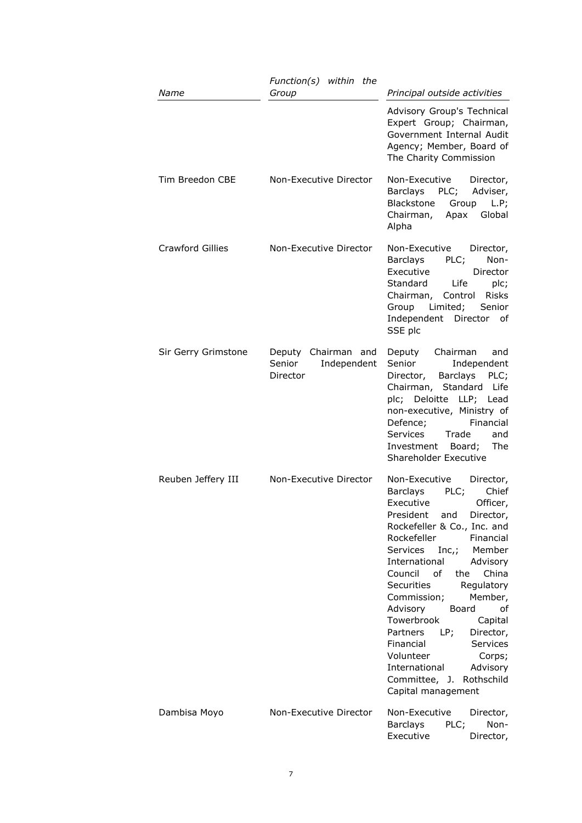| Name                    | Function(s) within the<br>Group                          | Principal outside activities                                                                                                                                                                                                                                                                                                                                                                                                                                                                                                                |
|-------------------------|----------------------------------------------------------|---------------------------------------------------------------------------------------------------------------------------------------------------------------------------------------------------------------------------------------------------------------------------------------------------------------------------------------------------------------------------------------------------------------------------------------------------------------------------------------------------------------------------------------------|
|                         |                                                          | Advisory Group's Technical<br>Expert Group; Chairman,<br>Government Internal Audit<br>Agency; Member, Board of<br>The Charity Commission                                                                                                                                                                                                                                                                                                                                                                                                    |
| Tim Breedon CBE         | Non-Executive Director                                   | Non-Executive<br>Director,<br>PLC;<br>Barclays<br>Adviser,<br>Blackstone<br>Group<br>L.P;<br>Global<br>Chairman,<br>Apax<br>Alpha                                                                                                                                                                                                                                                                                                                                                                                                           |
| <b>Crawford Gillies</b> | Non-Executive Director                                   | Non-Executive<br>Director,<br>Barclays<br>PLC;<br>Non-<br>Executive<br>Director<br>Standard<br>Life<br>plc;<br>Chairman, Control<br>Risks<br>Limited;<br>Group<br>Senior<br>Independent Director of<br>SSE plc                                                                                                                                                                                                                                                                                                                              |
| Sir Gerry Grimstone     | Deputy Chairman and<br>Senior<br>Independent<br>Director | Chairman<br>Deputy<br>and<br>Senior<br>Independent<br>Barclays<br>Director,<br>PLC;<br>Chairman, Standard Life<br>plc; Deloitte LLP; Lead<br>non-executive, Ministry of<br>Defence;<br>Financial<br><b>Services</b><br>Trade<br>and<br>The<br>Investment Board;<br>Shareholder Executive                                                                                                                                                                                                                                                    |
| Reuben Jeffery III      | Non-Executive Director                                   | Non-Executive<br>Director,<br>PLC;<br>Chief<br>Barclays<br>Executive<br>Officer,<br>President and Director,<br>Rockefeller & Co., Inc. and<br>Rockefeller<br>Financial<br>$Inc$ ;<br>Services<br>Member<br>International<br>Advisory<br>Council of<br>China<br>the<br>Securities<br>Regulatory<br>Member,<br>Commission;<br>Advisory<br>Board<br>οf<br>Towerbrook<br>Capital<br>Partners<br>LP;<br>Director,<br>Services<br>Financial<br>Volunteer<br>Corps;<br>International<br>Advisory<br>Committee, J. Rothschild<br>Capital management |
| Dambisa Moyo            | Non-Executive Director                                   | Non-Executive<br>Director,<br>Non-<br><b>Barclays</b><br>PLC;<br>Executive<br>Director,                                                                                                                                                                                                                                                                                                                                                                                                                                                     |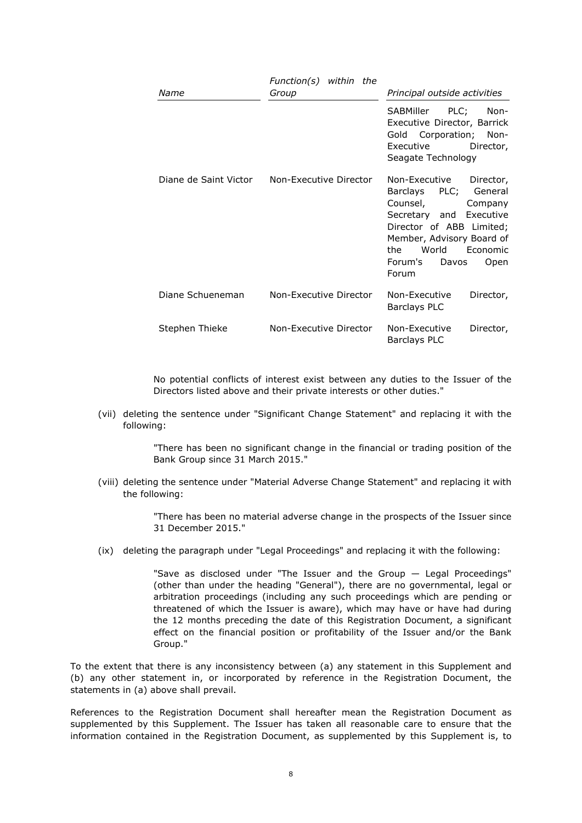| Name                  | Function(s) within the<br>Group | Principal outside activities                                                                                                                                                                                                                             |
|-----------------------|---------------------------------|----------------------------------------------------------------------------------------------------------------------------------------------------------------------------------------------------------------------------------------------------------|
|                       |                                 | SABMiller PLC;<br>Non-<br>Executive Director, Barrick<br>Gold Corporation; Non-<br>Executive<br>Director,<br>Seagate Technology                                                                                                                          |
| Diane de Saint Victor | Non-Executive Director          | Non-Executive<br>Director,<br>Barclays PLC; General<br>Counsel, <b>comparison</b><br>Company<br>Secretary and Executive<br>Director of ABB Limited;<br>Member, Advisory Board of<br>World<br>the<br><b>Economic</b><br>Forum's<br>Davos<br>Open<br>Forum |
| Diane Schueneman      | Non-Executive Director          | Non-Executive<br>Director,<br><b>Barclays PLC</b>                                                                                                                                                                                                        |
| Stephen Thieke        | Non-Executive Director          | Non-Executive<br>Director,<br><b>Barclays PLC</b>                                                                                                                                                                                                        |

No potential conflicts of interest exist between any duties to the Issuer of the Directors listed above and their private interests or other duties."

(vii) deleting the sentence under "Significant Change Statement" and replacing it with the following:

> "There has been no significant change in the financial or trading position of the Bank Group since 31 March 2015."

(viii) deleting the sentence under "Material Adverse Change Statement" and replacing it with the following:

> "There has been no material adverse change in the prospects of the Issuer since 31 December 2015."

(ix) deleting the paragraph under "Legal Proceedings" and replacing it with the following:

"Save as disclosed under "The Issuer and the Group — Legal Proceedings" (other than under the heading "General"), there are no governmental, legal or arbitration proceedings (including any such proceedings which are pending or threatened of which the Issuer is aware), which may have or have had during the 12 months preceding the date of this Registration Document, a significant effect on the financial position or profitability of the Issuer and/or the Bank Group."

To the extent that there is any inconsistency between (a) any statement in this Supplement and (b) any other statement in, or incorporated by reference in the Registration Document, the statements in (a) above shall prevail.

References to the Registration Document shall hereafter mean the Registration Document as supplemented by this Supplement. The Issuer has taken all reasonable care to ensure that the information contained in the Registration Document, as supplemented by this Supplement is, to